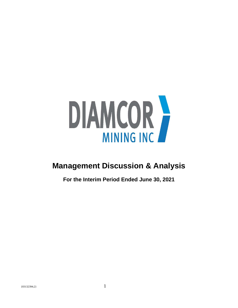

# **Management Discussion & Analysis**

**For the Interim Period Ended June 30, 2021**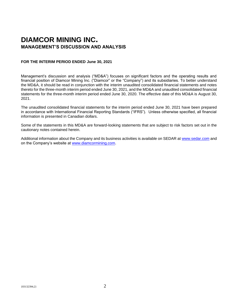## **DIAMCOR MINING INC. MANAGEMENT'S DISCUSSION AND ANALYSIS**

## **FOR THE INTERIM PERIOD ENDED June 30, 2021**

Management's discussion and analysis ("MD&A") focuses on significant factors and the operating results and financial position of Diamcor Mining Inc. ("Diamcor" or the "Company") and its subsidiaries. To better understand the MD&A, it should be read in conjunction with the interim unaudited consolidated financial statements and notes thereto for the three-month interim period ended June 30, 2021, and the MD&A and unaudited consolidated financial statements for the three-month interim period ended June 30, 2020. The effective date of this MD&A is August 30, 2021.

The unaudited consolidated financial statements for the interim period ended June 30, 2021 have been prepared in accordance with International Financial Reporting Standards ("IFRS"). Unless otherwise specified, all financial information is presented in Canadian dollars.

Some of the statements in this MD&A are forward-looking statements that are subject to risk factors set out in the cautionary notes contained herein.

Additional information about the Company and its business activities is available on SEDAR at [www.sedar.com](http://www.sedar.com/) and on the Company's website at [www.diamcormining.com.](http://www.diamcormining.com/)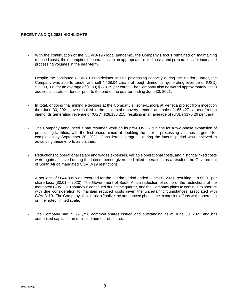## **RECENT AND Q1 2021 HIGHLIGHTS**

- With the continuation of the COVID-19 global pandemic, the Company's focus remained on maintaining reduced costs, the resumption of operations on an appropriate limited basis, and preparations for increased processing volumes in the near-term.
- Despite the continued COVID-19 restrictions limiting processing capacity during the interim quarter, the Company was able to tender and sell 4,468.04 carats of rough diamonds, generating revenue of (USD) \$1,208,106, for an average of (USD) \$270.39 per carat. The Company also delivered approximately 1,500 additional carats for tender prior to the end of the quarter ending June 30, 2021.
- In total, ongoing trial mining exercises at the Company's Krone-Endora at Venetia project from inception thru June 30, 2021 have resulted in the incidental recovery, tender, and sale of 165,427 carats of rough diamonds generating revenue of (USD) \$28,135,215, resulting in an average of (USD) \$170.26 per carat.
- The Company announced it had resumed work on its pre-COVID-19 plans for a two-phase expansion of processing facilities, with the first phase aimed at doubling the current processing volumes targeted for completion by September 30, 2021. Considerable progress during the interim period was achieved in advancing these efforts as planned.
- Reductions to operational salary and wages expenses, variable operational costs, and historical fixed costs were again achieved during the interim period given the limited operations as a result of the Government of South Africa mandated COVID-19 restrictions.
- A net loss of \$844,899 was recorded for the interim period ended June 30, 2021, resulting in a \$0.01 per share loss. (\$0.01 – 2020). The Government of South Africa reduction of some of the restrictions of the mandated COVID-19 shutdown continued during the quarter, and the Company plans to continue to operate with due consideration to maintain reduced costs given the uncertain circumstances associated with COVID-19. The Company also plans to finalize the announced phase one expansion efforts while operating on the noted limited scale.
- The Company had 73,291,756 common shares issued and outstanding as at June 30, 2021 and has authorized capital of an unlimited number of shares.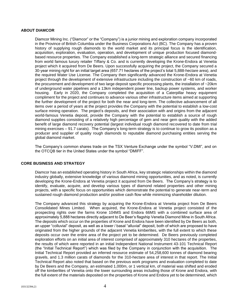## **ABOUT DIAMCOR**

Diamcor Mining Inc. ("Diamcor" or the "Company") is a junior mining and exploration company incorporated in the Province of British Columbia under the Business Corporations Act (BC). The Company has a proven history of supplying rough diamonds to the world market and its principal focus is the identification, acquisition, exploration, evaluation, operation, and development of unique production focused diamondbased resource properties. The Company established a long-term strategic alliance and secured financing from world famous luxury retailer Tiffany & Co. and is currently developing the Krone-Endora at Venetia project which it acquired from De Beers. Upon successfully acquiring the project, the Company secured a 30-year mining right for an initial target area (657.71 hectares of the project's total 5,888-hectare area), and the required Water Use License. The Company then significantly advanced the Krone-Endora at Venetia project through the development of extensive infrastructure including the construction of ~60 km of roads, the procurement and development of two large deposit specific processing plants, the installation of ~20km of underground water pipelines and a 13km independent power line, backup power systems, and worker housing. Early in 2020, the Company completed the acquisition of a Caterpillar heavy equipment compliment for the project and continues to advance various other infrastructure items aimed at supporting the further development of the project for both the near and long-term. The collective advancement of all items over a period of years at the project provides the Company with the potential to establish a low-cost surface mining operation. The project's deposits, and their association with and origins from the adjacent world-famous Venetia deposit, provide the Company with the potential to establish a source of rough diamond supplies consisting of a relatively high percentage of gem and near gem quality with the added benefit of large diamond recovery potential (largest individual rough diamond recovered to date from trial mining exercises – 91.7 carats). The Company's long-term strategy is to continue to grow its position as a producer and supplier of quality rough diamonds to reputable diamond purchasing entities serving the global diamond market.

The Company's common shares trade on the TSX Venture Exchange under the symbol "V.DMI", and on the OTCQB tier in the United States under the symbol "DMIFF".

## **CORE BUSINESS AND STRATEGY**

Diamcor has an established operating history in South Africa, key strategic relationships within the diamond industry globally, extensive knowledge of various diamond mining opportunities, and as noted, is currently developing the Krone-Endora at Venetia project it acquired from De Beers. The Company's strategy is to identify, evaluate, acquire, and develop various types of diamond related properties and other mining projects, with a specific focus on opportunities which demonstrate the potential to generate near-term and sustained rough diamond production and/or positive cash flow while minimizing shareholder dilution.

The Company advanced this strategy by acquiring the Krone-Endora at Venetia project from De Beers Consolidated Mines Limited. When acquired, the Krone-Endora at Venetia project consisted of the prospecting rights over the farms Krone 104MS and Endora 66MS with a combined surface area of approximately 5,888 hectares directly adjacent to De Beer's flagship Venetia Diamond Mine in South Africa. The deposits which occur on the properties of Krone and Endora have been identified by De Beers as both, an upper "colluvial" deposit, as well as a lower / basal "alluvial" deposit, both of which are proposed to have originated from the higher grounds of the adjacent Venetia kimberlites, with the full extent to which these deposits occur over the entire area of the project yet to be determined. De Beers previously completed exploration efforts on an initial area of interest comprised of approximately 310 hectares of the properties, the results of which were reported in an initial Independent National Instrument 43-101 Technical Report (the "Initial Technical Report") which was filed by the Company in conjunction with the acquisition. The Initial Technical Report provided an inferred resource estimate of 54,258,600 tonnes of diamond bearing gravels, and 1.3 million carats of diamonds for the 310-hectare area of interest in that report. The Initial Technical Report also noted that based on the previous work programs and evaluation completed to date by De Beers and the Company, an estimated 1,000m, or 1 vertical km, of material was shifted and eroded off the kimberlites of Venetia onto the lower surrounding areas including those of Krone and Endora, with the full extent of the materials deposited on the properties of Krone and Endora yet to be determined, which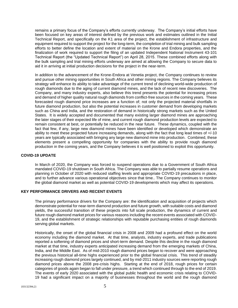remains a primary focus of the Company's efforts currently underway. The Company's initial efforts have been focused on key areas of interest defined by the previous work and estimates outlined in the Initial Technical Report, and specifically on the K1 area of the project, the establishment of infrastructure and equipment required to support the project for the long-term, the completion of trial mining and bulk sampling efforts to better define the location and extent of material on the Krone and Endora properties, and the finalization of work required to support the filing of an updated Independent National Instrument 43-101 Technical Report (the "Updated Technical Report") on April 28, 2015. These combined efforts along with the bulk sampling and trial mining efforts underway are aimed at allowing the Company to secure data to aid it in arriving at initial production decisions for the project in the near-term.

In addition to the advancement of the Krone-Endora at Venetia project, the Company continues to review and pursue other mining opportunities in South Africa and other mining regions. The Company believes its strategy will enhance its ability to take advantage of the current trend of declining world-wide production of rough diamonds due to the aging of current diamond mines, and the lack of recent new discoveries. The Company, and many industry experts, also believe this trend presents the potential for increasing prices and demand of higher quality natural rough diamonds from conflict-free sources in the coming years. These forecasted rough diamond price increases are a function of; not only the projected material shortfalls in future diamond production, but also the potential increases in customer demand from developing markets such as China and India, and the restoration of demand in historically strong markets such as the United States. It is widely accepted and documented that many existing larger diamond mines are approaching the later stages of their expected life of mine, and current rough diamond production levels are expected to remain consistent at best, or potentially be reduced in the near future. These dynamics, coupled with the fact that few, if any, large new diamond mines have been identified or developed which demonstrate an ability to meet these projected future increasing demands, along with the fact that long lead times of +/-10 years are typically associated with bringing any large new diamond mine into production. Combined, these elements present a compelling opportunity for companies with the ability to provide rough diamond production in the coming years, and the Company believes it is well positioned to exploit this opportunity.

## **COVID-19 UPDATE**

In March of 2020, the Company was forced to suspend operations due to a Government of South Africa mandated COVID-19 shutdown in South Africa. The Company was able to partially resume operations and planning in October of 2020 with reduced staffing levels and appropriate COVID-19 precautions in place, and to further advance various operational objectives since that time.. The Company continues to monitor the global diamond market as well as potential COVID-19 developments which may affect its operations.

## **KEY PERFORMANCE DRIVERS AND RECENT EVENTS**

The primary performance drivers for the Company are: the identification and acquisition of projects which demonstrate potential for near-term diamond production and future growth, with suitable costs and diamond yields, the successful transition of these projects into full scale production, the dynamics of current and future rough diamond market prices for various reasons including the recent events associated with COVID-19, and the establishment of strategic relationships with reputable purchasing entities of rough diamonds serving global markets.

Historically, the onset of the global financial crisis in 2008 and 2009 had a profound effect on the world economy including the diamond market. At that time, analysts, industry experts, and trade publications reported a softening of diamond prices and short-term demand. Despite this decline in the rough diamond market at that time, industry experts anticipated increasing demand from the emerging markets of China, India, and the Middle East. As of mid-2010 rough diamond prices began to recover and were approaching the previous historical all-time highs experienced prior to the global financial crisis. This trend of steadily increasing rough diamond prices largely continued, and by mid-2011 industry sources were reporting rough diamond prices above the 2008 pre-crisis highs. Starting at the end of 2018, rough prices for certain categories of goods again began to fall under pressure, a trend which continued through to the end of 2019. The events of early 2020 associated with the global public health and economic crisis relating to COVID-19 had a significant impact on a majority of businesses throughout the world and the rough diamond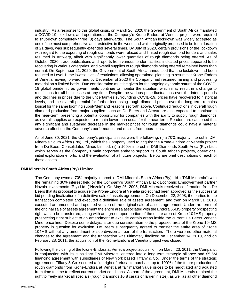industry. As a response to this global crisis, on March 26, 2020 the Government of South Africa mandated a COVID-19 lockdown, and operations at the Company's Krone-Endora at Venetia project were required to shut-down completely three (3) days afterwards. The South African lockdown was widely accepted as one of the most comprehensive and restrictive in the world and while originally proposed to be for a duration of 21 days, was subsequently extended several times. By July of 2020, certain provisions of the lockdown with regard to the exporting of rough diamonds were relaxed and limited rough diamond tenders and sales resumed in Antwerp, albeit with significantly lower quantities of rough diamonds being offered. As of October 2020, trade publications and reports from various tender facilities indicated prices appeared to be recovering in various categories, and overall supplies of rough diamonds being offered remained lower than normal. On September 21, 2020, the Government of South Africa announced that the lockdown had been reduced to Level-1, the lowest level of restrictions, allowing operational planning to resume at Krone-Endora at Venetia moving forward, and by December of 2020 the Company had resumed mining and processing material on a limited basis. Due consideration must be given for the ongoing dynamic nature of the COVID-19 global pandemic as governments continue to monitor the situation, which may result in a change to restrictions for all businesses at any time. Despite the various price fluctuations over the interim periods and declines in prices due to the uncertainties surrounding COVID-19, prices have recovered to historical levels, and the overall potential for further increasing rough diamond prices over the long-term remains logical for the same looming supply/demand reasons set forth above. Continued reductions in overall rough diamond production from major suppliers such as De Beers and Alrosa are also expected to continue in the near-term, presenting a potential opportunity for companies with the ability to supply rough diamonds as overall supplies are expected to remain lower than usual for the near-term. Readers are cautioned that any significant and sustained decrease in the market prices for rough diamonds could have a material adverse effect on the Company's performance and results from operations**.**

As of June 30, 2021, the Company's principal assets were the following: (i) a 70% majority interest in DMI Minerals South Africa (Pty) Ltd., which the Company used to acquire the Krone-Endora at Venetia project from De Beers Consolidated Mines Limited, (ii) a 100% interest in DMI Diamonds South Arica (Pty) Ltd., which serves as the Company's main corporate entity to support its South African projects, operations, initial exploration efforts, and the evaluation of all future projects. Below are brief descriptions of each of these assets.

## **DMI Minerals South Africa (Pty) Limited**

The Company owns a 70% majority interest in DMI Minerals South Africa (Pty) Ltd. ("DMI Minerals") with the remaining 30% interest held by the Company's South African Black Economic Empowerment partner Nozala Investments (Pty) Ltd. ("Nozala"). On May 26, 2008, DMI Minerals received confirmation from De Beers that its proposal to acquire the Krone-Endora at Venetia project had been approved as the successful bid pending finalization of a definitive sale of assets agreement. On December 22, 2008, the parties to the transaction completed and executed a definitive sale of assets agreement, and then on March 31, 2010, executed an amended and updated version of the original sale of assets agreement. Under the terms of the original sale of assets agreement the entire area associated with the Endora 66MS property prospecting right was to be transferred, along with an agreed upon portion of the entire area of Krone 104MS property prospecting right subject to an amendment to exclude certain areas inside the current De Beers Venetia Mine fence line. Despite some delays, after due consideration to the proposed area of the Krone 104MS property in question for exclusion, De Beers subsequently agreed to transfer the entire area of Krone 104MS without any amendment or sub-division as part of the transaction. There were no other material changes to the agreement and the transaction was ultimately finalized on December 14, 2010, and on February 28, 2011, the acquisition of the Krone-Endora at Venetia project was closed.

Following the closing of the Krone-Endora at Venetia project acquisition, on March 23, 2011, the Company, in conjunction with its subsidiary DMI Minerals, entered into a long-term strategic alliance and \$5.5M financing agreement with subsidiaries of New York based Tiffany & Co. Under the terms of the strategic agreement, Tiffany & Co. secured a first right of refusal to purchase up to 100% of the future production of rough diamonds from Krone-Endora at Venetia at fair market value prices to be negotiated and adjusted from time to time to reflect current market conditions. As part of the agreement, DMI Minerals retained the right to freely market all specials (rough diamonds 10.8 carats or larger in size), as well as all other diamond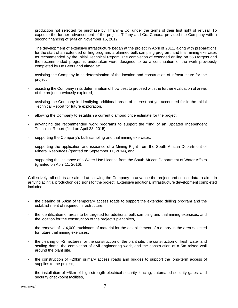production not selected for purchase by Tiffany & Co. under the terms of their first right of refusal. To expedite the further advancement of the project, Tiffany and Co. Canada provided the Company with a second financing of \$4M on November 16, 2012.

The development of extensive infrastructure began at the project in April of 2011, along with preparations for the start of an extended drilling program, a planned bulk sampling program, and trial mining exercises as recommended by the Initial Technical Report. The completion of extended drilling on 558 targets and the recommended programs undertaken were designed to be a continuation of the work previously completed by De Beers and aimed at:

- assisting the Company in its determination of the location and construction of infrastructure for the project,
- assisting the Company in its determination of how best to proceed with the further evaluation of areas of the project previously explored,
- assisting the Company in identifying additional areas of interest not yet accounted for in the Initial Technical Report for future exploration,
- allowing the Company to establish a current diamond price estimate for the project,
- advancing the recommended work programs to support the filing of an Updated Independent Technical Report (filed on April 28, 2015),
- supporting the Company's bulk sampling and trial mining exercises,
- supporting the application and issuance of a Mining Right from the South African Department of Mineral Resources (granted on September 11, 2014), and
- supporting the issuance of a Water Use License from the South African Department of Water Affairs (granted on April 11, 2016).

Collectively, all efforts are aimed at allowing the Company to advance the project and collect data to aid it in arriving at initial production decisions for the project. Extensive additional infrastructure development completed included:

- the clearing of 60km of temporary access roads to support the extended drilling program and the establishment of required infrastructure,
- the identification of areas to be targeted for additional bulk sampling and trial mining exercises, and the location for the construction of the project's plant sites,
- the removal of  $+/-4,000$  truckloads of material for the establishment of a quarry in the area selected for future trial mining exercises,
- the clearing of  $\sim$ 2 hectares for the construction of the plant site, the construction of fresh water and settling dams, the completion of civil engineering work, and the construction of a 5m raised wall around the plant site,
- the construction of ~20km primary access roads and bridges to support the long-term access of supplies to the project,
- the installation of ~5km of high strength electrical security fencing, automated security gates, and security checkpoint facilities,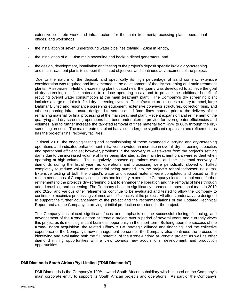- extensive concrete work and infrastructure for the main treatment/processing plant, operational offices, and workshops,
- the installation of seven underground water pipelines totaling  $\sim$  20km in length,
- the installation of a ~13km main powerline and backup diesel generators, and
- the design, development, installation and testing of the project's deposit specific in-field dry-screening and main treatment plants to support the stated objectives and continued advancement of the project.

Due to the nature of the deposit, and specifically its high percentage of sand content, extensive consideration was required and implemented in the development of the dry-screening and main treatment plants. A separate in-field dry-screening plant located near the quarry was developed to achieve the goal of dry-screening out fine materials to reduce operating costs, and to provide the additional benefit of reducing overall water consumption at the main treatment plant. The Company's dry screening plant includes a large modular in-field dry-screening system. The infrastructure includes a rotary trommel, large Dabmar Bivitec and resonance screening equipment, extensive conveyor structures, collection bins, and other supporting infrastructure designed to screen out -1.0mm fines material prior to the delivery of the remaining material for final processing at the main treatment plant. Recent expansion and refinement of the quarrying and dry-screening operations has been undertaken to provide for even greater efficiencies and volumes, and to further increase the targeted removal of fines material from 45% to 60% through the dryscreening process. The main treatment plant has also undergone significant expansion and refinement, as has the project's final recovery facilities.

In fiscal 2018, the ongoing testing and commissioning of these expanded quarrying and dry-screening operations and indicated enhancement initiatives provided an increase in overall dry-screening capacities and operational efficiencies; however, problems in the recovery of wastewater from the project's settling dams due to the increased volume of fines being liberated at the main treatment plant were evident when operating at high volume. This negatively impacted operations overall and the incidental recovery of diamonds during the fiscal year, as operations and processing were periodically slowed or halted completely to reduce volumes of material being pumped into the project's rehabilitation/settling dams. Extensive testing of both the project's water and deposit material were completed and based on the recommendations of Company consultants and industry experts, the Company elected to implement further refinements to the project's dry-screening plant to enhance the liberation and the removal of fines through added crushing and screening. The Company chose to significantly enhance its operational team in 2019 and 2020, and various other refinements continue to be evaluated and tested to allow the Company to continue to maximize processing volumes and efficiencies at the project. All efforts underway are designed to support the further advancement of the project and the recommendations of the Updated Technical Report and aid the Company in arriving at initial production decisions for the project.

The Company has placed significant focus and emphasis on the successful closing, financing, and advancement of the Krone-Endora at Venetia project over a period of several years and currently views this project as its most significant business opportunity in the short-term. Building upon the success of the Krone-Endora acquisition, the related Tiffany & Co. strategic alliance and financing, and the collective experience of the Company's new management personnel, the Company also continues the process of identifying and evaluating both the full potential of the Krone-Endora at Venetia project, as well as other diamond mining opportunities with a view towards new acquisitions, development, and production opportunities.

## **DMI Diamonds South Africa (Pty) Limited ("DMI Diamonds")**

DMI Diamonds is the Company's 100% owned South African subsidiary which is used as the Company's main corporate entity to support its South African projects and operations. As part of the Company's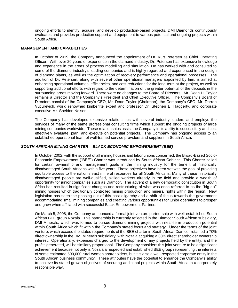ongoing efforts to identify, acquire, and develop production-based projects, DMI Diamonds continuously evaluates and provides production support and equipment to various potential and ongoing projects within South Africa.

## **MANAGEMENT AND CAPABILITIES**

In October of 2019, the Company announced the appointment of Dr. Kurt Petersen as Chief Operating Officer. With over 20 years of experience in the diamond industry, Dr. Petersen has extensive knowledge and experience in the areas of process modelling and simulation. He has worked with and consulted to some of the diamond industry's leading companies and is highly regarded and experienced in the design of diamond plants, as well as the optimization of recovery performance and operational processes. The addition of Dr. Petersen, along with several other operational managers appointed by him, is aimed at enhancing operational volumes, efficiencies, and cost reductions for the long-term at the project, as well as supporting additional efforts with regard to the determination of the greater potential of the deposits in the surrounding areas moving forward. There were no changes to the Board of Directors. Mr. Dean H. Taylor remains a Director and the Company's President and Chief Executive Officer. The Company's Board of Directors consist of the Company's CEO, Mr. Dean Taylor (Chairman), the Company's CFO, Mr. Darren Vucurevich, world renowned kimberlite expert and professor Dr. Stephen E. Haggerty, and corporate executive Mr. Sheldon Nelson.

The Company has developed extensive relationships with several industry leaders and employs the services of many of the same professional consulting firms which support the ongoing projects of large mining companies worldwide. These relationships assist the Company in its ability to successfully and cost effectively evaluate, plan, and execute on potential projects. The Company has ongoing access to an established operational team of well-trained service providers and suppliers in South Africa.

## *SOUTH AFRICAN MINING CHARTER – BLACK ECONOMIC EMPOWERMENT (BEE)*

In October 2002, with the support of all mining houses and labor unions concerned, the Broad-Based Socio-Economic Empowerment ("BEE") Charter was introduced by South African Cabinet. This Charter called for certain ownership and management goals in the mining industry for the benefit of historically disadvantaged South Africans within five years. These objectives have been set with the goal of providing equitable access to the nation's vast mineral resources for all South Africans. Many of these historically disadvantaged people are well-qualified, skilled workers already in the field and provide a wealth of opportunity for junior companies such as Diamcor. The advent of a new democratic constitution in South Africa has resulted in significant changes and restructuring of what was once referred to as the "big six" mining houses which traditionally controlled mining production and mineral rights within the region. New legislation has seen the phasing out of this past oligarchy and a shift of focus towards the government accommodating small mining companies and creating various opportunities for junior operations to prosper and grow when affiliated with successful Black Empowerment Partners.

On March 5, 2008, the Company announced a formal joint venture partnership with well-established South African BEE group Nozala. This partnership is currently reflected in the Diamcor South African subsidiary, DMI Minerals, which was formed to pursue diamond mining projects with near-term production potential within South Africa which fit within the Company's stated focus and strategy. Under the terms of the joint venture, which exceed the stated requirements of the BEE charter in South Africa, Diamcor retained a 70% direct ownership in the DMI Minerals subsidiary, with Nozala acquiring a 30% direct shareholder ownership interest. Operationally, expenses charged to the development of any projects held by the entity, and the profits generated, will be similarly proportional. The Company considers this joint venture to be a significant achievement because not only is Nozala a respected and established BEE group representing the interests of some estimated 500,000 rural women shareholders, but it is also a well-respected corporate entity in the South African business community. These attributes have the potential to enhance the Company's ability to achieve its stated growth objectives of securing additional projects within South Africa in a corporately responsible way.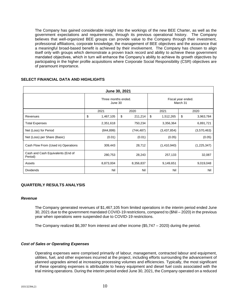The Company has gained considerable insight into the workings of the new BEE Charter, as well as the government expectations and requirements, through its previous operational history. The Company believes that well-organized BEE groups can provide value to the Company through their investment, professional affiliations, corporate knowledge, the management of BEE objectives and the assurance that a meaningful broad-based benefit is achieved by their involvement. The Company has chosen to align itself only with groups which demonstrate a proven track record and ability to achieve these government mandated objectives, which in turn will enhance the Company's ability to achieve its growth objectives by participating in the higher profile acquisitions where Corporate Social Responsibility (CSR) objectives are of paramount importance.

| June 30, 2021                                |                                |               |                                |                 |  |
|----------------------------------------------|--------------------------------|---------------|--------------------------------|-----------------|--|
|                                              | Three months ended.<br>June 30 |               | Fiscal year ended.<br>March 31 |                 |  |
|                                              | 2021                           | 2020          | 2021                           | 2020            |  |
| Revenues                                     | \$<br>1,467,105                | \$<br>211,214 | \$<br>1,512,265                | \$<br>3,963,784 |  |
| <b>Total Expenses</b>                        | 2,351,618                      | 750,234       | 3,356,364                      | 6,891,721       |  |
| Net (Loss) for Period                        | (844, 899)                     | (744, 487)    | (3,437,854)                    | (3,570,463)     |  |
| Net (Loss) per Share (Basic)                 | (0.01)                         | (0.01)        | (0.05)                         | (0.05)          |  |
| Cash Flow From (Used in) Operations          | 309,443                        | 28,712        | (1,410,940)                    | (1,225,347)     |  |
| Cash and Cash Equivalents (End of<br>Period) | 280,753                        | 28,243        | 257,133                        | 32,087          |  |
| Assets                                       | 8,873,004                      | 8,356,837     | 9,149,651                      | 9,019,048       |  |
| <b>Dividends</b>                             | Nil                            | Nil           | Nil                            | Nil             |  |

## **SELECT FINANCIAL DATA AND HIGHLIGHTS**

## **QUARTERLY RESULTS ANALYSIS**

## *Revenue*

The Company generated revenues of \$1,467,105 from limited operations in the interim period ended June 30, 2021 due to the government mandated COVID-19 restrictions, compared to (\$Nil – 2020) in the previous year when operations were suspended due to COVID-19 restrictions.

The Company realized \$6,397 from interest and other income (\$5,747 – 2020) during the period.

## *Cost of Sales or Operating Expenses*

Operating expenses were comprised primarily of labour, management, contracted labour and equipment, utilities, fuel, and other expenses incurred at the project, including efforts surrounding the advancement of planned upgrades aimed at increasing processing volumes and efficiencies. Typically, the most significant of these operating expenses is attributable to heavy equipment and diesel fuel costs associated with the trial mining operations. During the interim period ended June 30, 2021, the Company operated on a reduced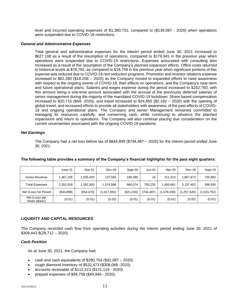level and incurred operating expenses of \$1,380,731, compared to (\$139,087 - 2020) when operations were suspended due to COVID-19 restrictions.

## *General and Administrative Expenses*

Total general and administrative expenses for the interim period ended June 30, 2021 increased to \$627,108 as a result of the resumption of operations, compared to \$176,941 in the previous year when operations were suspended due to COVID-19 restrictions. Expenses associated with consulting also increased as a result of the resumption of the Company's planned expansion efforts. Office costs returned to historical levels at \$78,792, as compared to \$18,759 in the previous year when significant portions of this expense was reduced due to COVID-19 rent reduction programs. Promotion and investor relations expense increased to \$62,280 (\$18,208 – 2020) as the Company moved to expanded efforts to raise awareness with respect to the ongoing events of COVID-19, their effects on operations, and the Company's near-term and future operational plans. Salaries and wages expense during the period increased to \$252,700, with this amount being a one-time amount associated with the accrual of the previously deferred salaries of senior management during the majority of the mandated COVID-19 lockdown. Share based compensation increased to \$20,715 (\$Nil -2020), and travel increased to \$24,855 (\$2,192 – 2020) with the opening of global travel, and increased efforts to provide all stakeholders with awareness of the past effects of COVID-19 and ongoing operational plans. The Company and senior Management remained committed to managing its resources carefully, and conserving cash, while continuing to advance the planned expansions and return to operations. The Company will also continue placing due consideration on the current uncertainties associated with the ongoing COVID-19 pandemic.

## *Net Earnings*

The Company had a net loss before tax of \$844,899 (\$744,487 – 2020) for the interim period ended June 30, 2021.

|                                 | June-21    | Mar-21     | $Dec-20$    | Sept-20    | Jun-20    | Mar-20      | Dec-19        | Sept-19     |
|---------------------------------|------------|------------|-------------|------------|-----------|-------------|---------------|-------------|
| Gross Revenue                   | 1,467,105  | 1.035.420  | 137.565     | 339,280    | nil       | 211.214     | .867.873      | 730,692     |
| <b>Total Expenses</b>           | 2,351,618  | 1,282,920  | 1.574.566   | 966.074    | 750.235   | 1.400.681   | 3.137.402     | 389,935     |
| Net (Loss) for Period           | (844, 899) | (654, 470) | (1,417,881) | (621, 016) | (744.487) | (1,078,330) | (1, 257, 649) | (1,023,752) |
| Net (Loss) per<br>Share (Basic) | (0.01)     | (0.01)     | (0.02)      | (0.01)     | (0.01)    | (0.01)      | (0.02)        | (0.01)      |

## **The following table provides a summary of the Company's financial highlights for the past eight quarters:**

## **LIQUIDITY AND CAPITAL RESOURCES**

The Company recorded cash flow from operating activities during the interim period ending June 30, 2021 of \$309,443 \$(28,712 – 2020)

## *Cash Position*

As at June 30, 2021, the Company had:

- cash and cash equivalents of  $$280,753$   $($32,087 2020)$
- rough diamond inventory of \$532,472 (\$308,068 -2020)
- accounts receivable of \$112,223 (\$121,119 2020)
- prepaid expenses of \$94,758 (\$49,946 2020).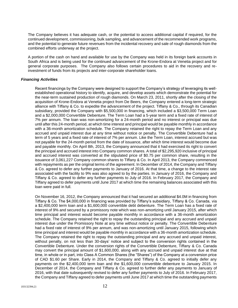The Company believes it has adequate cash, or the potential to access additional capital if required, for the continued development, commissioning, bulk sampling, and advancement of the recommended work programs, and the potential to generate future revenues from the incidental recovery and sale of rough diamonds from the combined efforts underway at the project.

A portion of the cash on hand and available for use by the Company was held in its foreign bank accounts in South Africa and is being used for the continued advancement of the Krone-Endora at Venetia project and for general corporate purposes. The Company also follows certain procedures to aid in the recovery and reinvestment of funds from its projects and inter-corporate shareholder loans.

## *Financing Activities*

Recent financings by the Company were designed to support the Company's strategy of leveraging its wellestablished operational history to identify, acquire, and develop assets which demonstrate the potential for the near-term sustained production of rough diamonds. On March 23, 2011, shortly after the closing of the acquisition of Krone-Endora at Venetia project from De Beers, the Company entered a long-term strategic alliance with Tiffany & Co. to expedite the advancement of the project. Tiffany & Co., through its Canadian subsidiary, provided the Company with \$5,500,000 in financing, which included a \$3,500,000 Term Loan and a \$2,000,000 Convertible Debenture. The Term Loan had a 5-year term and a fixed rate of interest of 7% per annum. The loan was non-amortizing for a 24-month period and no interest or principal was due until after this 24-month period, at which time interest and principal would be payable monthly in accordance with a 36-month amortization schedule. The Company retained the right to repay the Term Loan and any accrued and unpaid interest due at any time without notice or penalty. The Convertible Debenture had a term of 5 years and a fixed rate of interest of 7% per annum. Like the Term Loan, interest accrued but was not payable for the 24-month period from the date of issuance, after which time interest would become due and payable monthly. On April 8th, 2013, the Company announced that it had exercised its right to convert the principal and accrued interest into Company common shares. A total of \$2,295,920 inclusive of principal and accrued interest was converted at the stipulated price of \$0.75 per common share, resulting in the issuance of 3,061,227 Company common shares to Tiffany & Co. In April 2013, the Company commenced with repayments as per the original terms of the agreement. In December of 2014, the Company and Tiffany & Co. agreed to defer any further payments to January of 2016. At that time, a change to the interest rate associated with the facility to 9% was also agreed to by the parties. In January of 2016, the Company and Tiffany & Co. agreed to defer any further payments to July of 2016. In February 2017, the Company and Tiffany agreed to defer payments until June 2017 at which time the remaining balances associated with this loan were paid in full.

On November 16, 2012, the Company announced that it had secured an additional \$4.0M in financing from Tiffany & Co. The \$4,000,000 in financing was provided by Tiffany's subsidiary, Tiffany & Co. Canada, via a \$2,400,000 term loan and a \$1,600,000 convertible debt debenture. The Term Loan has a fixed rate of interest of 9% and secured by a promissory note which was non-amortizing until January 2015, after which time principal and interest would become payable monthly in accordance with a 36-month amortization schedule. The Company retained the right to repay the outstanding principal and any accrued and unpaid interest due under the Promissory Note at any time without notice or penalty. The Convertible Debenture had a fixed rate of interest of 9% per annum, and was non-amortizing until January 2015, following which time principal and interest would be payable monthly in accordance with a 36-month amortization schedule. The Company retained the right to repay the outstanding principal and any accrued and unpaid interest, without penalty, on not less than 30-days' notice and subject to the conversion rights contained in the Convertible Debenture. Under the conversion rights of the Convertible Debenture, Tiffany & Co. Canada may convert the principal amount of \$1,600,000, along with any accrued and unpaid interest due at that time, in whole or in part, into Class A Common Shares (the "Shares") of the Company at a conversion price of CAD \$1.60 per Share. Early in 2014, the Company and Tiffany & Co. agreed to initially defer any payments on the \$2,400,000 term loan and the \$1,600,000 convertible debenture to January 2015. In December of 2014, the Company and Tiffany & Co. agreed to further defer any payments to January of 2016, with that date subsequently revised to defer any further payments to July of 2016. In February 2017, the Company and Tiffany agreed to defer payments until June 2017 at which time the outstanding payments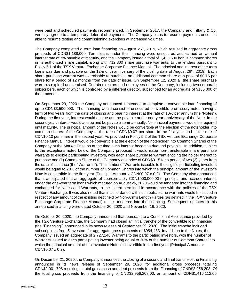were paid and scheduled payments recommenced. In September 2017, the Company and Tiffany & Co. verbally agreed to a temporary deferral of payments. The Company plans to resume payments once it is able to resume testing and commissioning exercises at increased volumes.

The Company completed a term loan financing on August 26<sup>th</sup>, 2019, which resulted in aggregate gross proceeds of CDN\$1,188,000. Term loans under the financing were unsecured and carried an annual interest rate of 7% payable at maturity, and the Company issued a total of 1,425,600 bonus common shares in its authorized share capital, along with 712,800 share purchase warrants, to the lenders pursuant to Policy 5.1 of the TSX Venture Exchange Corporate Finance Manual. The principal and interest of the term loans was due and payable on the 12-month anniversary of the closing date of August  $26<sup>th</sup>$ , 2019. Each share purchase warrant was exercisable to purchase an additional common share at a price of \$0.16 per share for a period of 12 months from the date of issue. On September 12, 2020 all the share purchase warrants expired unexercised. Certain directors and employees of the Company, including two corporate subscribers, each of which is controlled by a different director, subscribed for an aggregate of \$155,000 of the proceeds.

On September 29, 2020 the Company announced it intended to complete a convertible loan financing of up to CDN\$3,500,000. The financing would consist of unsecured convertible promissory notes having a term of two years from the date of closing and bearing interest at the rate of 10% per annum (the "Notes"). During the first year, interest would accrue and be payable at the one-year anniversary of the Note. In the second year, interest would accrue and be payable semi-annually. No principal payments would be required until maturity. The principal amount of the Notes would be convertible at the election of the noteholder into common shares of the Company at the rate of CDN\$0.07 per share in the first year and at the rate of CDN\$0.10 per share in the second year. As provided in Policy 5.2 of the TSX Venture Exchange Corporate Finance Manual, interest would be convertible at the election of the noteholder into Common Shares of the Company at the Market Price as at the time such interest becomes due and payable. In addition, subject to the exceptions noted below, the Company proposed it would issue non-transferable share purchase warrants to eligible participating investors, with each share purchase warrant entitling the holder thereof to purchase one (1) Common Share of the Company at a price of CDN\$0.15 for a period of two (2) years from the date of issuance (the "Warrants"). The number of Warrants issuable to the eligible participating investors would be equal to 20% of the number of Common Shares into which the principal amount of the investor's Note is convertible in the first year (Principal Amount  $\div$  CDN\$0.07 x 0.2). The Company also announced that it anticipated that an aggregate of approximately CDN\$900,000.00 of principal and accrued interest under the one-year term loans which matured on August 26, 2020 would be tendered into the financing and exchanged for Notes and Warrants, to the extent permitted in accordance with the policies of the TSX Venture Exchange. It was also noted that in accordance with such policies, no warrants would be issued in respect of any amount of the existing debt held by Non-Arm's Length Parties (as defined in the TSX Venture Exchange Corporate Finance Manual) that is tendered into the financing. Subsequent updates to this announced financing were dated October 20, 2020 and November 16, 2020.

On October 20, 2020, the Company announced that, pursuant to a Conditional Acceptance provided by the TSX Venture Exchange, the Company had closed an initial tranche of the convertible loan financing (the "Financing") announced in its news release of September 29, 2020. The initial tranche included subscriptions from 5 investors for aggregate gross proceeds of \$954,483. In addition to the Notes, the Company issued an aggregate of 2,727,140 Warrants to the participating investors, with the number of Warrants issued to each participating investor being equal to 20% of the number of Common Shares into which the principal amount of the investor's Note is convertible in the first year (Principal Amount  $\div$ CDN\$0.07 x 0.2).

On December 21, 2020, the Company announced the closing of a second and final tranche of the Financing announced in its news release of September 29, 2020, for additional gross proceeds totalling CDN\$2,001,708 resulting in total gross cash and debt proceeds from the Financing of CND\$2,956,208. Of the total gross proceeds from the financing of CND\$2,956,208.00, an amount of CDN\$1,416,112.00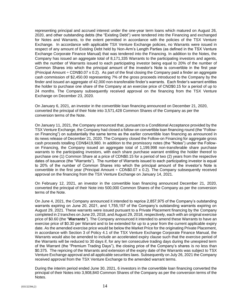representing principal and accrued interest under the one-year term loans which matured on August 26, 2020, and other outstanding debts (the "Existing Debt") were tendered into the Financing and exchanged for Notes and Warrants, to the extent permitted in accordance with the policies of the TSX Venture Exchange. In accordance with applicable TSX Venture Exchange policies, no Warrants were issued in respect of any amount of Existing Debt held by Non-Arm's Length Parties (as defined in the TSX Venture Exchange Corporate Finance Manual) that was tendered into the Financing. In addition to the Notes, the Company has issued an aggregate total of 8,171,335 Warrants to the participating investors and agents, with the number of Warrants issued to each participating investor being equal to 20% of the number of Common Shares into which the principal amount of the investor's Note is convertible in the first year (Principal Amount  $\div$  CDN\$0.07 x 0.2). As part of the final closing the Company paid a finder an aggregate cash commission of \$2,450.00 representing 7% of the gross proceeds introduced to the Company by the finder and issued an aggregate of 42,000 non-transferable finder's warrants. Each finder's warrant entitles the holder to purchase one share of the Company at an exercise price of CND\$0.15 for a period of up to 24 months. The Company subsequently received approval on the financing from the TSX Venture Exchange on December 23, 2020.

On January 6, 2021, an investor in the convertible loan financing announced on December 21, 2020, converted the principal of their Note into 3,571,428 Common Shares of the Company as per the conversion terms of the Note.

On January 11, 2021, the Company announced that, pursuant to a Conditional Acceptance provided by the TSX Venture Exchange, the Company had closed a follow-on convertible loan financing round (the "Followon Financing") on substantially the same terms as the earlier convertible loan financing as announced in its news release of December 21, 2020. The Company closed the Follow-on Financing for aggregate gross cash proceeds totalling CDN\$419,980. In addition to the promissory notes (the "Notes") under the Followon Financing, the Company issued an aggregate total of 1,199,998 non-transferable share purchase warrants to the participating investors, with each share purchase warrant entitling the holder thereof to purchase one (1) Common Share at a price of CDN\$0.15 for a period of two (2) years from the respective dates of issuance (the "Warrants"). The number of Warrants issued to each participating investor is equal to 20% of the number of Common Shares into which the principal amount of the investor's Note is convertible in the first year (Principal Amount  $\div$  CDN\$0.07 x 0.2). The Company subsequently received approval on the financing from the TSX Venture Exchange on January 14, 2021.

On February 12, 2021, an investor in the convertible loan financing announced December 21, 2020, converted the principal of their Note into 500,000 Common Shares of the Company as per the conversion terms of the Note.

On June 4, 2021, the Company announced it intended to reprice 2,857,975 of the Company's outstanding warrants expiring on June 20, 2021, and 1,755,157 of the Company's outstanding warrants expiring on August 29, 2021. These warrants were issued pursuant to a Private Placement financing by the Company completed in 2 tranches on June 20, 2018, and August 29, 2018, respectively, each with an original exercise price of \$0.60 (the "**Warrants**"). The Company announced it intended to amend these Warrants to have an exercise price of \$0.30 per Warrant and to be extended for up to a year from the current applicable expiry date. As the amended exercise price would be below the Market Price for the originating Private Placement, in accordance with Section 3 of Policy 4.1 of the TSX Venture Exchange Corporate Finance Manual, the Warrants would also be amended to include an accelerated expiry clause such that the exercise period of the Warrants will be reduced to 30 days if, for any ten consecutive trading days during the unexpired term of the Warrant (the "Premium Trading Days"), the closing price of the Company's shares is no less than \$0.375. The repricing of the Warrants and extension of the expiry date of the Warrants was subject to TSX Venture Exchange approval and all applicable securities laws. Subsequently on July 26, 2021 the Company received approval from the TSX Venture Exchange to the amended warrant terms.

During the interim period ended June 30, 2021, 6 investors in the convertible loan financing converted the principal of their Notes into 3,908,840 Common Shares of the Company as per the conversion terms of the Notes.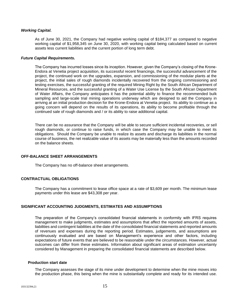#### *Working Capital.*

As of June 30, 2021, the Company had negative working capital of \$184,377 as compared to negative working capital of \$1,958,345 on June 30, 2020, with working capital being calculated based on current assets less current liabilities and the current portion of long term debt.

#### *Future Capital Requirements.*

The Company has incurred losses since its inception. However, given the Company's closing of the Krone-Endora at Venetia project acquisition, its successful recent financings, the successful advancement of the project, the continued work on the upgrades, expansion, and commissioning of the modular plants at the project, the initial sales of rough diamonds incidentally recovered from the ongoing commissioning and testing exercises, the successful granting of the required Mining Right by the South African Department of Mineral Resources, and the successful granting of a Water Use License by the South African Department of Water Affairs, the Company anticipates it has the potential ability to finance the recommended bulk sampling and large-scale trial mining operations underway which are designed to aid the Company in arriving at an initial production decision for the Krone-Endora at Venetia project. Its ability to continue as a going concern will depend on the results of its operations, its ability to become profitable through the continued sale of rough diamonds and / or its ability to raise additional capital.

There can be no assurance that the Company will be able to secure sufficient incidental recoveries, or sell rough diamonds, or continue to raise funds, in which case the Company may be unable to meet its obligations. Should the Company be unable to realize its assets and discharge its liabilities in the normal course of business, the net realizable value of its assets may be materially less than the amounts recorded on the balance sheets.

## **OFF-BALANCE SHEET ARRANGEMENTS**

The Company has no off-balance sheet arrangements.

## **CONTRACTUAL OBLIGATIONS**

The Company has a commitment to lease office space at a rate of \$3,609 per month. The minimum lease payments under this lease are \$43,308 per year.

## **SIGNIFICANT ACCOUNTING JUDGMENTS, ESTIMATES AND ASSUMPTIONS**

The preparation of the Company's consolidated financial statements in conformity with IFRS requires management to make judgments, estimates and assumptions that affect the reported amounts of assets, liabilities and contingent liabilities at the date of the consolidated financial statements and reported amounts of revenues and expenses during the reporting period. Estimates, judgements, and assumptions are continuously evaluated and are based on Management's experience and other factors, including expectations of future events that are believed to be reasonable under the circumstances. However, actual outcomes can differ from these estimates. Information about significant areas of estimation uncertainty considered by Management in preparing the consolidated financial statements are described below.

#### **Production start date**

The Company assesses the stage of its mine under development to determine when the mine moves into the production phase, this being when the mine is substantially complete and ready for its intended use.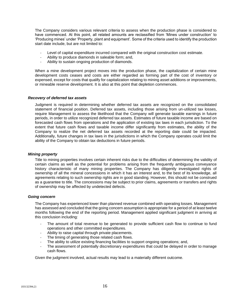The Company considers various relevant criteria to assess when the production phase is considered to have commenced. At this point, all related amounts are reclassified from 'Mines under construction' to 'Producing mines' under 'Property, plant and equipment'. Some of the criteria used to identify the production start date include, but are not limited to:

- Level of capital expenditure incurred compared with the original construction cost estimate.
- Ability to produce diamonds in saleable form; and,
- Ability to sustain ongoing production of diamonds.

When a mine development project moves into the production phase, the capitalization of certain mine development costs ceases and costs are either regarded as forming part of the cost of inventory or expensed, except for costs that qualify for capitalization relating to mining asset additions or improvements, or mineable reserve development. It is also at this point that depletion commences.

#### *Recovery of deferred tax assets*

Judgment is required in determining whether deferred tax assets are recognized on the consolidated statement of financial position. Deferred tax assets, including those arising from un-utilized tax losses, require Management to assess the likelihood that the Company will generate taxable earnings in future periods, in order to utilize recognized deferred tax assets. Estimates of future taxable income are based on forecasted cash flows from operations and the application of existing tax laws in each jurisdiction. To the extent that future cash flows and taxable income differ significantly from estimates, the ability of the Company to realize the net deferred tax assets recorded at the reporting date could be impacted. Additionally, future changes in tax laws in the jurisdictions in which the Company operates could limit the ability of the Company to obtain tax deductions in future periods.

### *Mining property*

Title to mining properties involves certain inherent risks due to the difficulties of determining the validity of certain claims as well as the potential for problems arising from the frequently ambiguous conveyance history characteristic of many mining properties. The Company has diligently investigated rights of ownership of all the mineral concessions in which it has an interest and, to the best of its knowledge, all agreements relating to such ownership rights are in good standing. However, this should not be construed as a guarantee to title. The concessions may be subject to prior claims, agreements or transfers and rights of ownership may be affected by undetected defects.

#### *Going concern*

The Company has experienced lower than planned revenue combined with operating losses. Management has assessed and concluded that the going concern assumption is appropriate for a period of at least twelve months following the end of the reporting period. Management applied significant judgment in arriving at this conclusion including:

- The amount of total revenue to be generated to provide sufficient cash flow to continue to fund operations and other committed expenditures.
- Ability to raise capital through private placements.
- The timing of generating those related cash flows.
- The ability to utilize existing financing facilities to support ongoing operations; and,
- The assessment of potentially discretionary expenditures that could be delayed in order to manage cash flows.

Given the judgment involved, actual results may lead to a materially different outcome.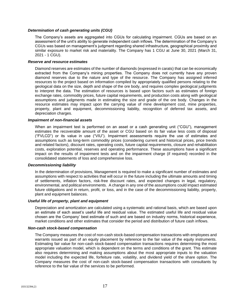#### *Determination of cash generating units (CGU)*

The Company's assets are aggregated into CGUs for calculating impairment. CGUs are based on an assessment of the unit's ability to generate independent cash inflows. The determination of the Company's CGUs was based on management's judgment regarding shared infrastructure, geographical proximity and similar exposure to market risk and materiality. The Company has 1 CGU at June 30, 2021 (March 31, 2021 - 1 CGU).

## *Reserve and resource estimates*

Diamond reserves are estimates of the number of diamonds (expressed in carats) that can be economically extracted from the Company's mining properties. The Company does not currently have any proven diamond reserves due to the nature and type of the resource. The Company has assigned inferred resources to the project based on information compiled by appropriately qualified persons relating to the geological data on the size, depth and shape of the ore body, and requires complex geological judgments to interpret the data. The estimation of resources is based upon factors such as estimates of foreign exchange rates, commodity prices, future capital requirements, and production costs along with geological assumptions and judgments made in estimating the size and grade of the ore body. Changes in the resource estimates may impact upon the carrying value of mine development cost, mine properties, property, plant and equipment, decommissioning liability, recognition of deferred tax assets, and depreciation charges.

#### *Impairment of non-financial assets*

When an impairment test is performed on an asset or a cash generating unit ("CGU"), management estimates the recoverable amount of the asset or CGU based on its fair value less costs of disposal ("FVLCD") or its value in use ("VIU"). Impairment assessments require the use of estimates and assumptions such as long-term commodity prices (considering current and historical prices, price trends and related factors), discount rates, operating costs, future capital requirements, closure and rehabilitation costs, exploration potential, reserves and operating performance. These assumptions have a significant impact on the results of impairment tests and on the impairment charge (if required) recorded in the consolidated statements of loss and comprehensive loss.

#### *Decommissioning liability*

In the determination of provisions, Management is required to make a significant number of estimates and assumptions with respect to activities that will occur in the future including the ultimate amounts and timing of settlements, inflation factors, risk-free discount rates, and expected changes in legal, regulatory, environmental, and political environments. A change in any one of the assumptions could impact estimated future obligations and in return, profit, or loss, and in the case of the decommissioning liability, property, plant and equipment balances.

#### *Useful life of property, plant and equipment*

Depreciation and amortization are calculated using a systematic and rational basis, which are based upon an estimate of each asset's useful life and residual value. The estimated useful life and residual value chosen are the Company' best estimate of such and are based on industry norms, historical experience, market conditions and other estimates that consider the period and distribution of future cash inflows.

#### *Non-cash stock-based compensation*

The Company measures the cost of non-cash stock-based compensation transactions with employees and warrants issued as part of an equity placement by reference to the fair value of the equity instruments. Estimating fair value for non-cash stock-based compensation transactions requires determining the most appropriate valuation model, which is dependent on the terms and conditions of the grant. This estimate also requires determining and making assumptions about the most appropriate inputs to the valuation model including the expected life, forfeiture rate, volatility, and dividend yield of the share option. The Company measures the cost of non-cash stock-based compensation transactions with consultants by reference to the fair value of the services to be performed.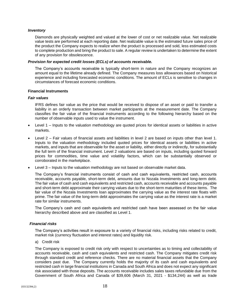#### *Inventory*

Diamonds are physically weighted and valued at the lower of cost or net realizable value. Net realizable value tests are performed at each reporting date. Net realizable value is the estimated future sales price of the product the Company expects to realize when the product is processed and sold, less estimated costs to complete production and bring the product to sale. A regular review is undertaken to determine the extent of any provision for obsolescence.

#### *Provision for expected credit losses (ECLs) of accounts receivable.*

The Company's accounts receivable is typically short-term in nature and the Company recognizes an amount equal to the lifetime already defined. The Company measures loss allowances based on historical experience and including forecasted economic conditions. The amount of ECLs is sensitive to changes in circumstances of forecast economic conditions.

#### **Financial Instruments**

#### *Fair values*

IFRS defines fair value as the price that would be received to dispose of an asset or paid to transfer a liability in an orderly transaction between market participants at the measurement date. The Company classifies the fair value of the financial instruments according to the following hierarchy based on the number of observable inputs used to value the instrument.

- Level 1 Inputs to the valuation methodology are quoted prices for identical assets or liabilities in active markets.
- Level 2 Fair values of financial assets and liabilities in level 2 are based on inputs other than level 1. Inputs to the valuation methodology included quoted prices for identical assets or liabilities in active markets, and inputs that are observable for the asset or liability, either directly or indirectly, for substantially the full term of the financial instrument. Level 2 valuations are based on inputs, including quoted forward prices for commodities, time value and volatility factors, which can be substantially observed or corroborated in the marketplace.
- Level 3 Inputs to the valuation methodology are not based on observable market data.

The Company's financial instruments consist of cash and cash equivalents, restricted cash, accounts receivable, accounts payable, short-term debt, amounts due to Nozala Investments and long-term debt. The fair value of cash and cash equivalents and restricted cash, accounts receivable and accounts payable and short-term debt approximate their carrying values due to the short-term maturities of these items. The fair value of the Nozala Investments loan approximates the carrying value as the interest rate floats with prime. The fair value of the long-term debt approximates the carrying value as the interest rate is a market rate for similar instruments.

The Company's cash and cash equivalents and restricted cash have been assessed on the fair value hierarchy described above and are classified as Level 1.

## *Financial risks*

The Company's activities result in exposure to a variety of financial risks, including risks related to credit, market risk (currency fluctuation and interest rates) and liquidity risk.

a) Credit risk

The Company is exposed to credit risk only with respect to uncertainties as to timing and collectability of accounts receivable, cash and cash equivalents and restricted cash. The Company mitigates credit risk through standard credit and reference checks. There are no material financial assets that the Company considers past due. The Company currently holds the majority of its cash and cash equivalents and restricted cash in large financial institutions in Canada and South Africa and does not expect any significant risk associated with those deposits. The accounts receivable includes sales taxes refundable due from the Government of South Africa and Canada of \$39,606 (March 31, 2021 - \$134,244) as well as trade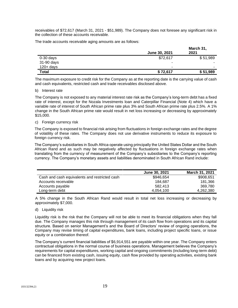receivables of \$72,617 (March 31, 2021 - \$51,989). The Company does not foresee any significant risk in the collection of these accounts receivable.

The trade accounts receivable aging amounts are as follows:

|              |               | March 31, |
|--------------|---------------|-----------|
|              | June 30, 2021 | 2021      |
| $0-30$ days  | \$72,617      | \$51,989  |
| 31-90 days   | -             | -         |
| $120 + days$ | -             | ۰         |
| <b>Total</b> | \$72,617      | \$51,989  |

The maximum exposure to credit risk for the Company as at the reporting date is the carrying value of cash and cash equivalents, restricted cash and trade receivables disclosed above.

#### b) Interest rate

The Company is not exposed to any material interest rate risk as the Company's long-term debt has a fixed rate of interest, except for the Nozala Investments loan and Caterpillar Financial (Note 4) which have a variable rate of interest of South African prime rate plus 3% and South African prime rate plus 2.5%. A 1% change in the South African prime rate would result in net loss increasing or decreasing by approximately \$15,000.

#### c) Foreign currency risk

The Company is exposed to financial risk arising from fluctuations in foreign exchange rates and the degree of volatility of these rates. The Company does not use derivative instruments to reduce its exposure to foreign currency risk.

The Company's subsidiaries in South Africa operate using principally the United States Dollar and the South African Rand and as such may be negatively affected by fluctuations in foreign exchange rates when translating from the currency of measurement of the Company's subsidiaries to the Company's reporting currency. The Company's monetary assets and liabilities denominated in South African Rand include:

|                                               | <b>June 30, 2021</b> | March 31, 2021 |
|-----------------------------------------------|----------------------|----------------|
| Cash and cash equivalents and restricted cash | \$946,654            | \$908,651      |
| Accounts receivable                           | 184.687              | 181,366        |
| Accounts payable                              | 582.413              | 369.780        |
| Long-term debt                                | 4.054.100            | 4,262,380      |

A 5% change in the South African Rand would result in total net loss increasing or decreasing by approximately \$7,000.

d) Liquidity risk

Liquidity risk is the risk that the Company will not be able to meet its financial obligations when they fall due. The Company manages this risk through management of its cash flow from operations and its capital structure. Based on senior Management's and the Board of Directors' review of ongoing operations, the Company may revise timing of capital expenditures, bank loans, including project specific loans, or issue equity or a combination thereof.

The Company's current financial liabilities of \$6,914,551 are payable within one year. The Company enters contractual obligations in the normal course of business operations. Management believes the Company's requirements for capital expenditures, working capital and ongoing commitments (including long-term debt) can be financed from existing cash, issuing equity, cash flow provided by operating activities, existing bank loans and by acquiring new project loans.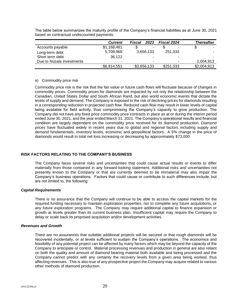|                           | <b>Current</b>           | 2023<br>Fiscal | <b>Fiscal 2024</b> | <b>Thereafter</b> |
|---------------------------|--------------------------|----------------|--------------------|-------------------|
| Accounts payable          | \$1,168,461              | $\blacksquare$ |                    | ۰.                |
| Long-term debt            | 5,709,968                | 3,656,133      | 251,033            |                   |
| Short term debt           | 36.122                   |                |                    |                   |
| Due to Nozala investments | $\overline{\phantom{0}}$ |                |                    | 2.004.913         |
|                           | \$6,914,551              | \$3,656,133    | \$251,033          | \$2,004,913       |

The table below summarizes the maturity profile of the Company's financial liabilities as at June 30, 2021 based on contractual undiscounted payments:

## e) Commodity price risk

Commodity price risk is the risk that the fair value or future cash flows will fluctuate because of changes in commodity prices. Commodity prices for diamonds are impacted by not only the relationship between the Canadian, United States Dollar and South African Rand, but also world economic events that dictate the levels of supply and demand. The Company is exposed to the risk of declining prices for diamonds resulting in a corresponding reduction in projected cash flow. Reduced cash flow may result in lower levels of capital being available for field activity, thus compromising the Company's capacity to grow production. The Company did not have any fixed price commodity price contracts in place as at or during the interim period ended June 30, 2021, and the year ended March 31, 2021. The Company's operational results and financial condition are largely dependent on the commodity price received for its diamond production. Diamond prices have fluctuated widely in recent years due to global and regional factors including supply and demand fundamentals, inventory levels, economic and geopolitical factors. A 5% change in the price of diamonds would result in total net loss increasing or decreasing by approximately \$73,000.

## **RISK FACTORS RELATING TO THE COMPANY'S BUSINESS**

The Company faces several risks and uncertainties that could cause actual results or events to differ materially from those contained in any forward-looking statement. Additional risks and uncertainties not presently known to the Company or that are currently deemed to be immaterial may also impair the Company's business operations. Factors that could cause or contribute to such differences include, but are not limited to, the following:

#### *Capital Requirements*

There is no assurance that the Company will continue to be able to access the capital markets for the required funding necessary to maintain exploration properties, nor to complete any future acquisitions, or any future exploration programs. The Company may require additional capital to finance expansion or growth at levels greater than its current business plan. Insufficient capital may require the Company to delay or scale back its proposed acquisition and/or development activities.

## *Revenues and Growth*

There are no assurances that suitable additional projects will be secured or that rough diamonds will be recovered incidentally, or at levels sufficient to sustain the Company's operations. The economics and feasibility of any potential project can be affected by many factors which may be beyond the capacity of the Company to anticipate or control. Material processing revenues and production in general are also reliant on both the quality and amount of diamond bearing material both available and being processed and the Company cannot predict with any certainty the recovery levels from a given area being worked, thus affecting revenues. This is also true of any prospective project the Company may acquire related to various other methods of diamond production.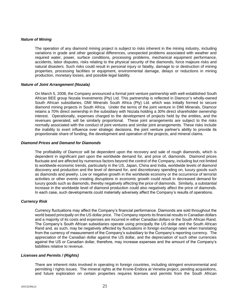#### *Nature of Mining*

The operation of any diamond mining project is subject to risks inherent in the mining industry, including variations in grade and other geological differences, unexpected problems associated with weather and required water, power, surface conditions, processing problems, mechanical equipment performance, accidents, labor disputes, risks relating to the physical security of the diamonds, force majeure risks and natural disasters. Such risks could result in personal injury or fatality, damage to or destruction of mining properties, processing facilities or equipment, environmental damage, delays or reductions in mining production, monetary losses, and possible legal liability.

#### *Nature of Joint Arrangement (Nozala)*

On March 5, 2008, the Company announced a formal joint venture partnership with well-established South African BEE group Nozala Investments (Pty) Ltd. This partnership is reflected in Diamcor's wholly-owned South African subsidiaries, DMI Minerals South Africa (Pty) Ltd. which was initially formed to secure diamond mining projects in South Africa. Under the terms of the joint venture in DMI Minerals, Diamcor retains a 70% direct ownership in the subsidiary with Nozala holding a 30% direct shareholder ownership interest. Operationally, expenses charged to the development of projects held by the entities, and the revenues generated, will be similarly proportional. These joint arrangements are subject to the risks normally associated with the conduct of joint ventures and similar joint arrangements. These risks include the inability to exert influence over strategic decisions, the joint venture partner's ability to provide its proportionate share of funding, the development and operation of the projects, and mineral claims.

#### *Diamond Prices and Demand for Diamonds*

The profitability of Diamcor will be dependent upon the recovery and sale of rough diamonds, which is dependent in significant part upon the worldwide demand for, and price of, diamonds. Diamond prices fluctuate and are affected by numerous factors beyond the control of the Company, including but not limited to worldwide economic trends, particularly in the US, Japan, China and India, worldwide levels of diamond discovery and production and the level of demand for, and discretionary spending on, luxury goods such as diamonds and jewelry. Low or negative growth in the worldwide economy or the occurrence of terrorist activities or other events creating disruptions in economic growth could result in decreased demand for luxury goods such as diamonds, thereby negatively affecting the price of diamonds. Similarly, a substantial increase in the worldwide level of diamond production could also negatively affect the price of diamonds. In each case, such developments could materially adversely affect the Company's results of operations.

## *Currency Risk*

Currency fluctuations may affect the Company's financial performance. Diamonds are sold throughout the world based principally on the US dollar price. The Company reports its financial results in Canadian dollars and a majority of its costs and expenses are incurred in either Canadian dollars or the South African Rand. The Company's South African subsidiaries operate using principally the US dollar and the South African Rand and, as such, may be negatively affected by fluctuations in foreign exchange rates when translating from the currency of measurement of the Company's subsidiary to the Company's reporting currency. The appreciation of the Canadian dollar against the US dollar, and the depreciation of such other currencies against the US or Canadian dollar, therefore, may increase expenses and the amount of the Company's liabilities relative to revenue.

## *Licenses and Permits / (Rights)*

There are inherent risks involved in operating in foreign countries, including stringent environmental and permitting / rights issues. The mineral rights at the Krone-Endora at Venetia project, pending acquisitions, and future exploration on certain properties requires licenses and permits from the South African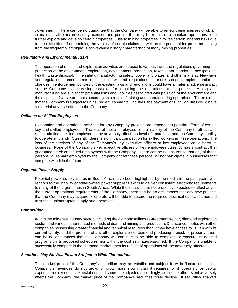government. There can be no guarantee that the Company will be able to renew these licenses or obtain or maintain all other necessary licenses and permits that may be required to maintain operations or to further explore and develop certain properties. Title to mining properties involves certain inherent risks due to the difficulties of determining the validity of certain claims as well as the potential for problems arising from the frequently ambiguous conveyance history characteristic of many mining properties.

#### *Regulatory and Environmental Risks*

The operation of mines and exploration activities are subject to various laws and regulations governing the protection of the environment, exploration, development, production, taxes, labor standards, occupational health, waste disposal, mine safety, manufacturing safety, power and water, and other matters. New laws and regulations, amendments to existing laws and regulations, or more stringent implementation or changes in enforcement policies under existing laws and regulations could have a material adverse impact on the Company by increasing costs and/or impairing the operations at the project. Mining and manufacturing are subject to potential risks and liabilities associated with pollution of the environment and the disposal of waste products occurring as a result of mining and manufacturing operations. To the extent that the Company is subject to uninsured environmental liabilities, the payment of such liabilities could have a material adverse effect on the Company.

#### *Reliance on Skilled Employees*

Exploration and operational activities for any Company projects are dependent upon the efforts of certain key and skilled employees. The loss of these employees or the inability of the Company to attract and retain additional skilled employees may adversely affect the level of operations and the Company's ability to operate efficiently. Currently, there is significant competition for skilled workers in these operations. The loss of the services of any of the Company's key executive officers or key employees could harm its business. None of the Company's key executive officers or key employees currently has a contract that guarantees their continued employment with the Company. There can be no assurance that any of these persons will remain employed by the Company or that these persons will not participate in businesses that compete with it in the future.

## *Regional Power Supply*

Potential power supply issues in South Africa have been highlighted by the media in the past years with regards to the inability of state-owned power supplier *Eskom* to deliver consistent electricity requirements to many of the larger mines in South Africa. While these issues are not presently expected to affect any of the current operational requirements of the Company, there can be no assurances that any new projects that the Company may acquire or operate will be able to secure the required electrical capacities needed to sustain uninterrupted supply and operations.

#### *Competition*

Within the minerals industry sector, including the diamond tailings re-treatment sector, diamond exploration sector, and various other related methods of diamond mining and production, Diamcor competes with other companies possessing greater financial and technical resources than it may have access to. Even with its current facility, and the promise of any other exploration or diamond producing project, or property, there can be no assurances that the Company will continue to be able to complete or execute its desired programs on its proposed schedules, nor within the cost estimates assumed. If the Company is unable to successfully compete in the diamond market, then its results of operations will be adversely affected.

#### *Securities May Be Volatile and Subject to Wide Fluctuations*

The market price of the Company's securities may be volatile and subject to wide fluctuations. If the Company's revenues do not grow, or grow more slowly than it requires, or if operating or capital expenditures exceed its expectations and cannot be adjusted accordingly, or if some other event adversely affects the Company, the market price of the Company's securities could decline. If securities analysts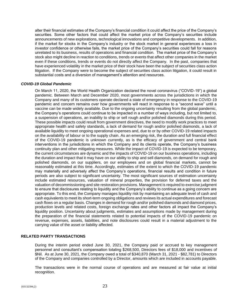alter their financial estimates of the Company's financial condition it could affect the price of the Company's securities. Some other factors that could affect the market price of the Company's securities include announcements of new explorations, technological innovations and competitive developments. In addition, if the market for stocks in the Company's industry or the stock market in general experiences a loss in investor confidence or otherwise fails, the market price of the Company's securities could fall for reasons unrelated to its business, results of operations and financial condition. The market price of the Company's stock also might decline in reaction to conditions, trends or events that affect other companies in the market even if these conditions, trends or events do not directly affect the Company. In the past, companies that have experienced volatility in the market price of their stock have been the subject of securities class action litigation. If the Company were to become the subject of securities class action litigation, it could result in substantial costs and a diversion of management's attention and resources.

#### *COVID-19 Global Pandemic*

On March 11, 2020, the World Health Organization declared the novel coronavirus ("COVID-19") a global pandemic. Between March and December 2020, most governments across the jurisdictions in which the Company and many of its customers operate declared a state of emergency in response to the COVID-19 pandemic and concern remains over how governments will react in response to a "second wave" until a vaccine can be made widely available. Due to the ongoing uncertainty resulting from the global pandemic, the Company's operations could continue to be impacted in a number of ways including, but not limited to, a suspension of operations, an inability to ship or sell rough and/or polished diamonds during this period. These possible impacts could result from government directives, the need to modify work practices to meet appropriate health and safety standards, a lack of demand for rough and/or polished diamonds, a lack of available liquidity to meet ongoing operational expenses and, due to or by other COVID-19 related impacts on the availability of labour or to the supply chain. As an emerging risk, the duration and full financial effect of the COVID-19 pandemic is unknown currently, as is the efficacy of government and central bank interventions in the jurisdictions in which the Company and its clients operate, the Company's business continuity plan and other mitigating measures. While the impact of COVID-19 is expected to be temporary, the current circumstances are dynamic and the impacts of COVID-19 on our business operations, including the duration and impact that it may have on our ability to ship and sell diamonds, on demand for rough and polished diamonds, on our suppliers, on our employees and on global financial markets, cannot be reasonably estimated at this time. Accordingly, estimates of the extent to which the COVID-19 pandemic may materially and adversely affect the Company's operations, financial results and condition in future periods are also subject to significant uncertainty. The most significant sources of estimation uncertainty include estimated resources, valuation of mineral properties, the provision for deferred taxes and the valuation of decommissioning and site restoration provisions. Management is required to exercise judgment to ensure that disclosures relating to liquidity and the Company's ability to continue as a going concern are appropriate. To this end, the Company manages liquidity risk by maintaining an adequate level of cash and cash equivalents to meet its short-term ongoing obligations and reviews its actual expenditures and forecast cash flows on a regular basis. Changes in demand for rough and/or polished diamonds and diamond prices, production levels and related costs, foreign exchange rates and other factors all impact the Company's liquidity position. Uncertainty about judgments, estimates and assumptions made by management during the preparation of the financial statements related to potential impacts of the COVID-19 pandemic on revenue, expenses, assets, liabilities, and note disclosures could result in a material adjustment to the carrying value of the asset or liability affected.

## **RELATED PARTY TRANSACTIONS**

During the interim period ended June 30, 2021, the Company paid or accrued to key management personnel and consultant's compensation totaling \$268,500, Directors fees of \$18,000 and incentives of \$Nil. As at June 30, 2021, the Company owed a total of \$340,870 (March 31, 2021 - \$82,781) to Directors of the Company and companies controlled by a Director, amounts which are included in accounts payable.

The transactions were in the normal course of operations and are measured at fair value at initial recognition.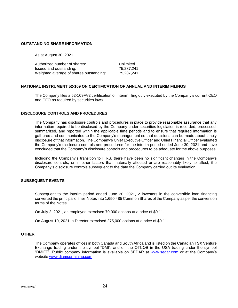#### **OUTSTANDING SHARE INFORMATION**

As at August 30, 2021

| Authorized number of shares:            | Unlimited  |
|-----------------------------------------|------------|
| Issued and outstanding:                 | 75.287.241 |
| Weighted average of shares outstanding: | 75,287,241 |

#### **NATIONAL INSTRUMENT 52-109 ON CERTIFICATION OF ANNUAL AND INTERIM FILINGS**

The Company files a 52-109FV2 certification of interim filing duly executed by the Company's current CEO and CFO as required by securities laws.

## **DISCLOSURE CONTROLS AND PROCEDURES**

The Company has disclosure controls and procedures in place to provide reasonable assurance that any information required to be disclosed by the Company under securities legislation is recorded, processed, summarized, and reported within the applicable time periods and to ensure that required information is gathered and communicated to the Company's management so that decisions can be made about timely disclosure of that information. The Company's Chief Executive Officer and Chief Financial Officer evaluated the Company's disclosure controls and procedures for the interim period ended June 30, 2021 and have concluded that the Company's disclosure controls and procedures to be adequate for the above purposes.

Including the Company's transition to IFRS, there have been no significant changes in the Company's disclosure controls, or in other factors that materially affected or are reasonably likely to affect, the Company's disclosure controls subsequent to the date the Company carried out its evaluation.

## **SUBSEQUENT EVENTS**

Subsequent to the interim period ended June 30, 2021, 2 investors in the convertible loan financing converted the principal of their Notes into 1,650,485 Common Shares of the Company as per the conversion terms of the Notes.

On July 2, 2021, an employee exercised 70,000 options at a price of \$0.11.

On August 10, 2021, a Director exercised 275,000 options at a price of \$0.11.

#### **OTHER**

The Company operates offices in both Canada and South Africa and is listed on the Canadian TSX Venture Exchange trading under the symbol "DMI", and on the OTCQB in the USA trading under the symbol "DMIFF". Public company information is available on SEDAR at [www.sedar.com](http://www.sedar.com/) or at the Company's website [www.diamcormining.com.](http://www.diamcormining.com/)